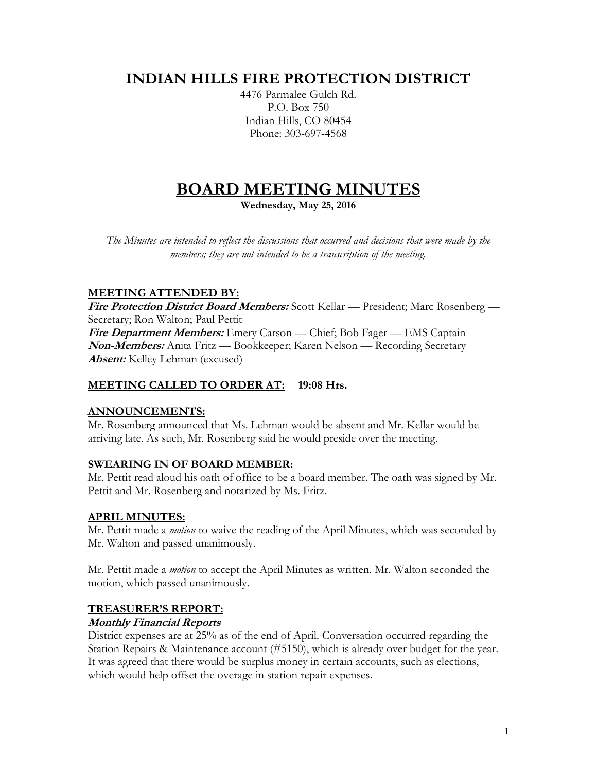# **INDIAN HILLS FIRE PROTECTION DISTRICT**

4476 Parmalee Gulch Rd. P.O. Box 750 Indian Hills, CO 80454 Phone: 303-697-4568

# **BOARD MEETING MINUTES**

**Wednesday, May 25, 2016**

*The Minutes are intended to reflect the discussions that occurred and decisions that were made by the members; they are not intended to be a transcription of the meeting.*

# **MEETING ATTENDED BY:**

**Fire Protection District Board Members:** Scott Kellar — President; Marc Rosenberg — Secretary; Ron Walton; Paul Pettit **Fire Department Members:** Emery Carson — Chief; Bob Fager — EMS Captain **Non-Members:** Anita Fritz — Bookkeeper; Karen Nelson — Recording Secretary

**Absent:** Kelley Lehman (excused)

# **MEETING CALLED TO ORDER AT: 19:08 Hrs.**

# **ANNOUNCEMENTS:**

Mr. Rosenberg announced that Ms. Lehman would be absent and Mr. Kellar would be arriving late. As such, Mr. Rosenberg said he would preside over the meeting.

# **SWEARING IN OF BOARD MEMBER:**

Mr. Pettit read aloud his oath of office to be a board member. The oath was signed by Mr. Pettit and Mr. Rosenberg and notarized by Ms. Fritz.

# **APRIL MINUTES:**

Mr. Pettit made a *motion* to waive the reading of the April Minutes, which was seconded by Mr. Walton and passed unanimously.

Mr. Pettit made a *motion* to accept the April Minutes as written. Mr. Walton seconded the motion, which passed unanimously.

#### **TREASURER'S REPORT:**

#### **Monthly Financial Reports**

District expenses are at 25% as of the end of April. Conversation occurred regarding the Station Repairs & Maintenance account (#5150), which is already over budget for the year. It was agreed that there would be surplus money in certain accounts, such as elections, which would help offset the overage in station repair expenses.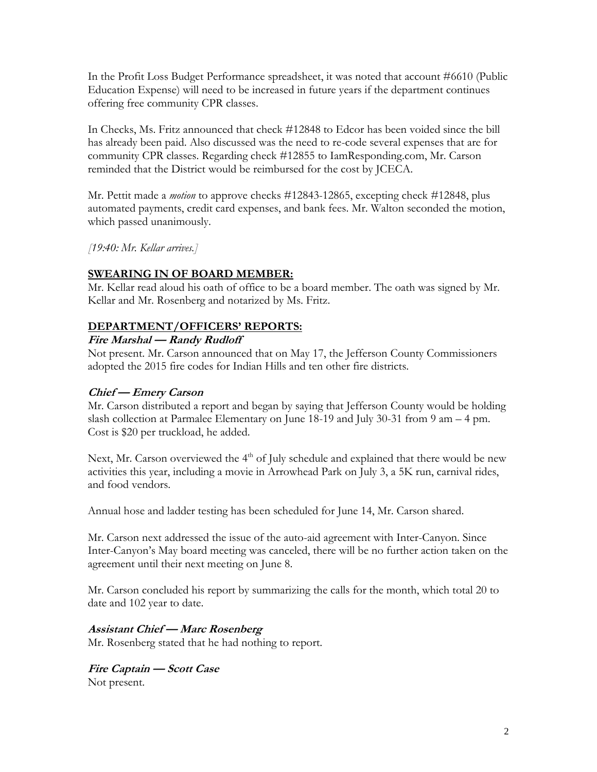In the Profit Loss Budget Performance spreadsheet, it was noted that account #6610 (Public Education Expense) will need to be increased in future years if the department continues offering free community CPR classes.

In Checks, Ms. Fritz announced that check #12848 to Edcor has been voided since the bill has already been paid. Also discussed was the need to re-code several expenses that are for community CPR classes. Regarding check #12855 to IamResponding.com, Mr. Carson reminded that the District would be reimbursed for the cost by JCECA.

Mr. Pettit made a *motion* to approve checks #12843-12865, excepting check #12848, plus automated payments, credit card expenses, and bank fees. Mr. Walton seconded the motion, which passed unanimously.

*[19:40: Mr. Kellar arrives.]*

#### **SWEARING IN OF BOARD MEMBER:**

Mr. Kellar read aloud his oath of office to be a board member. The oath was signed by Mr. Kellar and Mr. Rosenberg and notarized by Ms. Fritz.

#### **DEPARTMENT/OFFICERS' REPORTS:**

#### **Fire Marshal — Randy Rudloff**

Not present. Mr. Carson announced that on May 17, the Jefferson County Commissioners adopted the 2015 fire codes for Indian Hills and ten other fire districts.

#### **Chief — Emery Carson**

Mr. Carson distributed a report and began by saying that Jefferson County would be holding slash collection at Parmalee Elementary on June 18-19 and July 30-31 from 9 am – 4 pm. Cost is \$20 per truckload, he added.

Next, Mr. Carson overviewed the 4<sup>th</sup> of July schedule and explained that there would be new activities this year, including a movie in Arrowhead Park on July 3, a 5K run, carnival rides, and food vendors.

Annual hose and ladder testing has been scheduled for June 14, Mr. Carson shared.

Mr. Carson next addressed the issue of the auto-aid agreement with Inter-Canyon. Since Inter-Canyon's May board meeting was canceled, there will be no further action taken on the agreement until their next meeting on June 8.

Mr. Carson concluded his report by summarizing the calls for the month, which total 20 to date and 102 year to date.

#### **Assistant Chief — Marc Rosenberg**

Mr. Rosenberg stated that he had nothing to report.

**Fire Captain — Scott Case** Not present.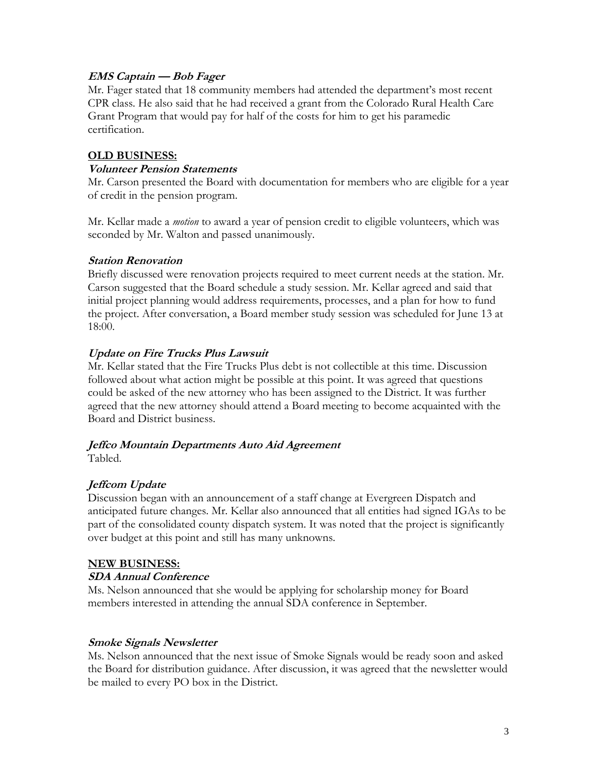#### **EMS Captain — Bob Fager**

Mr. Fager stated that 18 community members had attended the department's most recent CPR class. He also said that he had received a grant from the Colorado Rural Health Care Grant Program that would pay for half of the costs for him to get his paramedic certification.

#### **OLD BUSINESS:**

#### **Volunteer Pension Statements**

Mr. Carson presented the Board with documentation for members who are eligible for a year of credit in the pension program.

Mr. Kellar made a *motion* to award a year of pension credit to eligible volunteers, which was seconded by Mr. Walton and passed unanimously.

#### **Station Renovation**

Briefly discussed were renovation projects required to meet current needs at the station. Mr. Carson suggested that the Board schedule a study session. Mr. Kellar agreed and said that initial project planning would address requirements, processes, and a plan for how to fund the project. After conversation, a Board member study session was scheduled for June 13 at 18:00.

#### **Update on Fire Trucks Plus Lawsuit**

Mr. Kellar stated that the Fire Trucks Plus debt is not collectible at this time. Discussion followed about what action might be possible at this point. It was agreed that questions could be asked of the new attorney who has been assigned to the District. It was further agreed that the new attorney should attend a Board meeting to become acquainted with the Board and District business.

# **Jeffco Mountain Departments Auto Aid Agreement**

Tabled.

# **Jeffcom Update**

Discussion began with an announcement of a staff change at Evergreen Dispatch and anticipated future changes. Mr. Kellar also announced that all entities had signed IGAs to be part of the consolidated county dispatch system. It was noted that the project is significantly over budget at this point and still has many unknowns.

#### **NEW BUSINESS:**

#### **SDA Annual Conference**

Ms. Nelson announced that she would be applying for scholarship money for Board members interested in attending the annual SDA conference in September.

#### **Smoke Signals Newsletter**

Ms. Nelson announced that the next issue of Smoke Signals would be ready soon and asked the Board for distribution guidance. After discussion, it was agreed that the newsletter would be mailed to every PO box in the District.